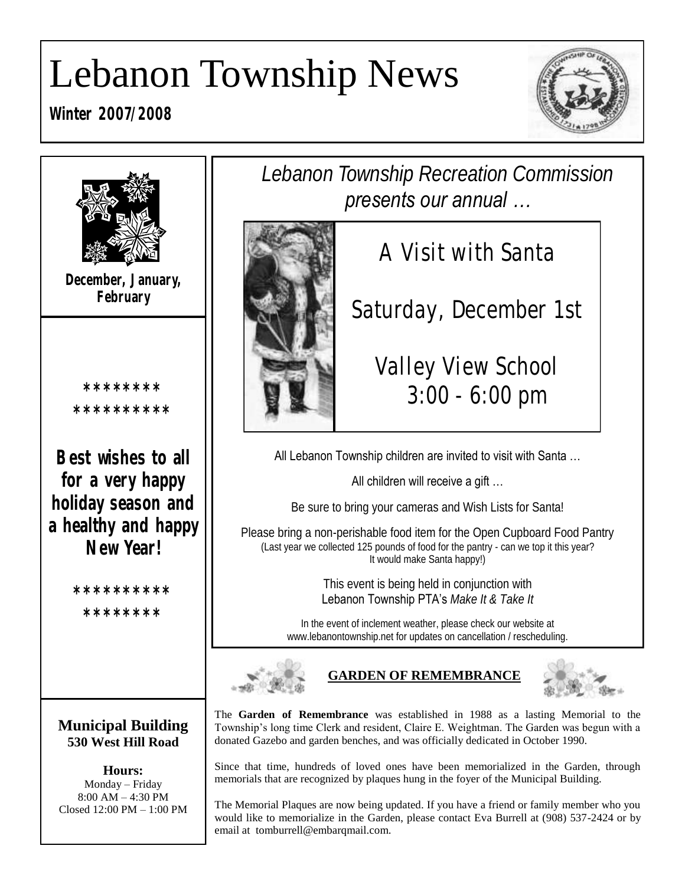# Lebanon Township News

**Winter 2007/2008**



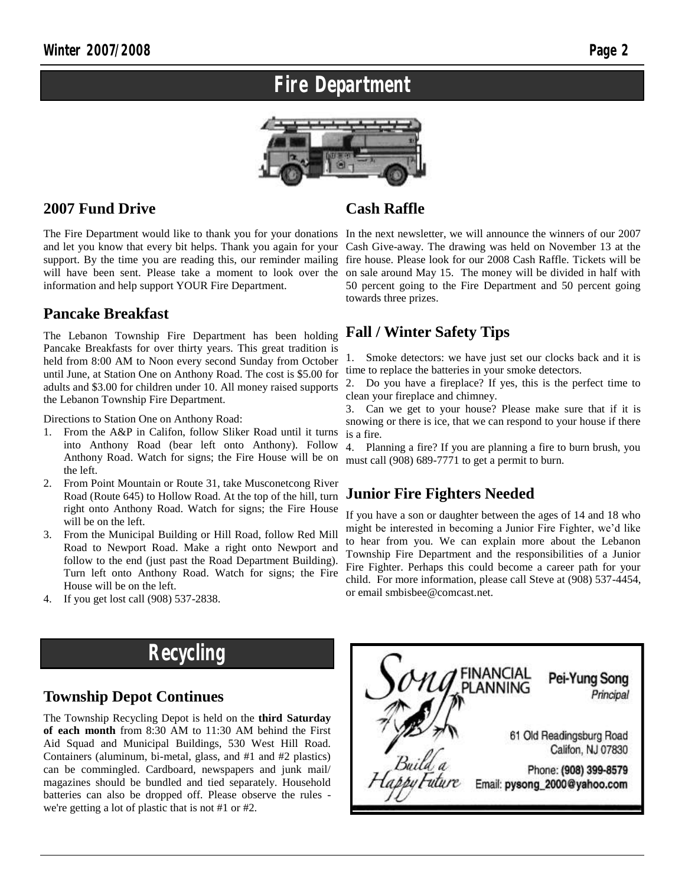### **Fire Department**



#### **2007 Fund Drive**

will have been sent. Please take a moment to look over the information and help support YOUR Fire Department.

#### **Pancake Breakfast**

The Lebanon Township Fire Department has been holding Pancake Breakfasts for over thirty years. This great tradition is held from 8:00 AM to Noon every second Sunday from October until June, at Station One on Anthony Road. The cost is \$5.00 for adults and \$3.00 for children under 10. All money raised supports the Lebanon Township Fire Department.

Directions to Station One on Anthony Road:

- 1. From the A&P in Califon, follow Sliker Road until it turns into Anthony Road (bear left onto Anthony). Follow Anthony Road. Watch for signs; the Fire House will be on the left.
- 2. From Point Mountain or Route 31, take Musconetcong River Road (Route 645) to Hollow Road. At the top of the hill, turn right onto Anthony Road. Watch for signs; the Fire House will be on the left.
- 3. From the Municipal Building or Hill Road, follow Red Mill Road to Newport Road. Make a right onto Newport and follow to the end (just past the Road Department Building). Turn left onto Anthony Road. Watch for signs; the Fire House will be on the left.
- 4. If you get lost call (908) 537-2838.

#### **Cash Raffle**

The Fire Department would like to thank you for your donations In the next newsletter, we will announce the winners of our 2007 and let you know that every bit helps. Thank you again for your Cash Give-away. The drawing was held on November 13 at the support. By the time you are reading this, our reminder mailing fire house. Please look for our 2008 Cash Raffle. Tickets will be on sale around May 15. The money will be divided in half with 50 percent going to the Fire Department and 50 percent going towards three prizes.

#### **Fall / Winter Safety Tips**

1. Smoke detectors: we have just set our clocks back and it is time to replace the batteries in your smoke detectors.

2. Do you have a fireplace? If yes, this is the perfect time to clean your fireplace and chimney.

3. Can we get to your house? Please make sure that if it is snowing or there is ice, that we can respond to your house if there is a fire.

4. Planning a fire? If you are planning a fire to burn brush, you must call (908) 689-7771 to get a permit to burn.

#### **Junior Fire Fighters Needed**

If you have a son or daughter between the ages of 14 and 18 who might be interested in becoming a Junior Fire Fighter, we'd like to hear from you. We can explain more about the Lebanon Township Fire Department and the responsibilities of a Junior Fire Fighter. Perhaps this could become a career path for your child. For more information, please call Steve at (908) 537-4454, or email smbisbee@comcast.net.

### **Recycling**

#### **Township Depot Continues**

The Township Recycling Depot is held on the **third Saturday of each month** from 8:30 AM to 11:30 AM behind the First Aid Squad and Municipal Buildings, 530 West Hill Road. Containers (aluminum, bi-metal, glass, and #1 and #2 plastics) can be commingled. Cardboard, newspapers and junk mail/ magazines should be bundled and tied separately. Household batteries can also be dropped off. Please observe the rules we're getting a lot of plastic that is not #1 or #2.

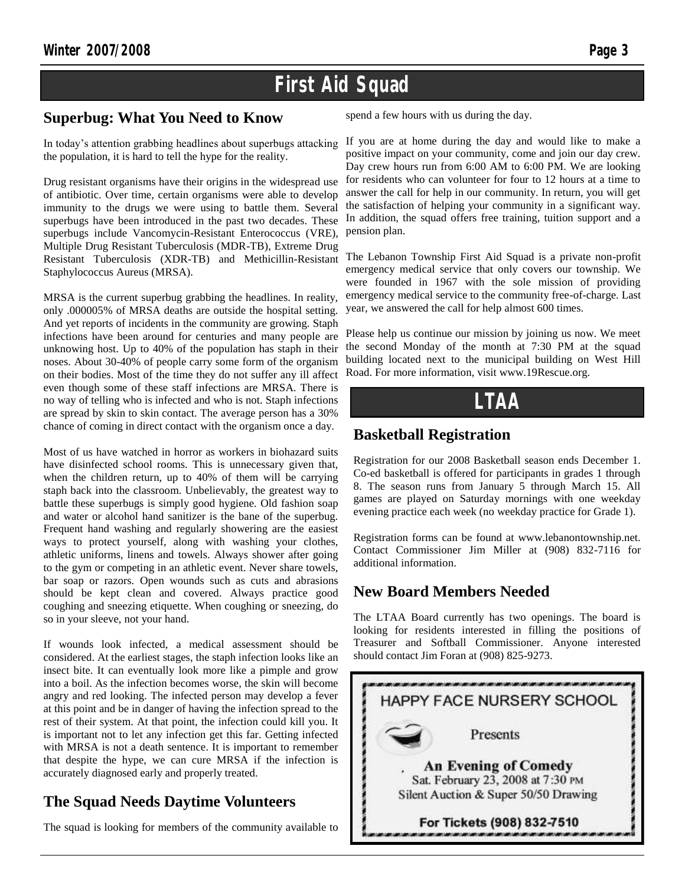### **First Aid Squad**

#### **Superbug: What You Need to Know**

In today's attention grabbing headlines about superbugs attacking the population, it is hard to tell the hype for the reality.

Drug resistant organisms have their origins in the widespread use of antibiotic. Over time, certain organisms were able to develop immunity to the drugs we were using to battle them. Several superbugs have been introduced in the past two decades. These superbugs include Vancomycin-Resistant Enterococcus (VRE), Multiple Drug Resistant Tuberculosis (MDR-TB), Extreme Drug Resistant Tuberculosis (XDR-TB) and Methicillin-Resistant Staphylococcus Aureus (MRSA).

MRSA is the current superbug grabbing the headlines. In reality, only .000005% of MRSA deaths are outside the hospital setting. And yet reports of incidents in the community are growing. Staph infections have been around for centuries and many people are unknowing host. Up to 40% of the population has staph in their noses. About 30-40% of people carry some form of the organism on their bodies. Most of the time they do not suffer any ill affect even though some of these staff infections are MRSA. There is no way of telling who is infected and who is not. Staph infections are spread by skin to skin contact. The average person has a 30% chance of coming in direct contact with the organism once a day.

Most of us have watched in horror as workers in biohazard suits have disinfected school rooms. This is unnecessary given that, when the children return, up to 40% of them will be carrying staph back into the classroom. Unbelievably, the greatest way to battle these superbugs is simply good hygiene. Old fashion soap and water or alcohol hand sanitizer is the bane of the superbug. Frequent hand washing and regularly showering are the easiest ways to protect yourself, along with washing your clothes, athletic uniforms, linens and towels. Always shower after going to the gym or competing in an athletic event. Never share towels, bar soap or razors. Open wounds such as cuts and abrasions should be kept clean and covered. Always practice good coughing and sneezing etiquette. When coughing or sneezing, do so in your sleeve, not your hand.

If wounds look infected, a medical assessment should be considered. At the earliest stages, the staph infection looks like an insect bite. It can eventually look more like a pimple and grow into a boil. As the infection becomes worse, the skin will become angry and red looking. The infected person may develop a fever at this point and be in danger of having the infection spread to the rest of their system. At that point, the infection could kill you. It is important not to let any infection get this far. Getting infected with MRSA is not a death sentence. It is important to remember that despite the hype, we can cure MRSA if the infection is accurately diagnosed early and properly treated.

#### **The Squad Needs Daytime Volunteers**

The squad is looking for members of the community available to

spend a few hours with us during the day.

If you are at home during the day and would like to make a positive impact on your community, come and join our day crew. Day crew hours run from 6:00 AM to 6:00 PM. We are looking for residents who can volunteer for four to 12 hours at a time to answer the call for help in our community. In return, you will get the satisfaction of helping your community in a significant way. In addition, the squad offers free training, tuition support and a pension plan.

The Lebanon Township First Aid Squad is a private non-profit emergency medical service that only covers our township. We were founded in 1967 with the sole mission of providing emergency medical service to the community free-of-charge. Last year, we answered the call for help almost 600 times.

Please help us continue our mission by joining us now. We meet the second Monday of the month at 7:30 PM at the squad building located next to the municipal building on West Hill Road. For more information, visit www.19Rescue.org.

**LTAA**

#### **Basketball Registration**

Registration for our 2008 Basketball season ends December 1. Co-ed basketball is offered for participants in grades 1 through 8. The season runs from January 5 through March 15. All games are played on Saturday mornings with one weekday evening practice each week (no weekday practice for Grade 1).

Registration forms can be found at www.lebanontownship.net. Contact Commissioner Jim Miller at (908) 832-7116 for additional information.

#### **New Board Members Needed**

The LTAA Board currently has two openings. The board is looking for residents interested in filling the positions of Treasurer and Softball Commissioner. Anyone interested should contact Jim Foran at (908) 825-9273.

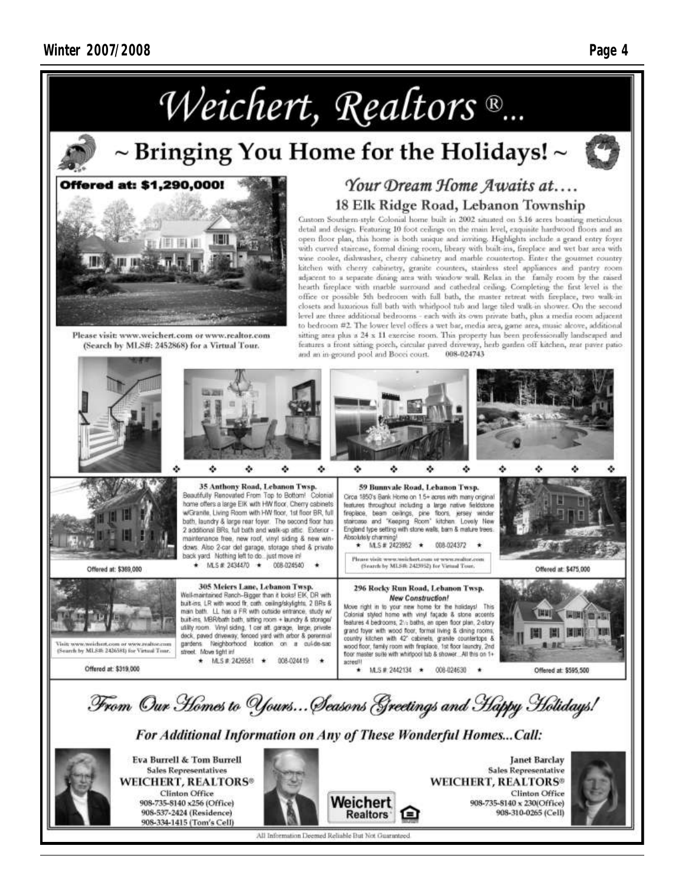

### $\sim$  Bringing You Home for the Holidays!  $\sim$





Please visit: www.weichert.com or www.realtor.com (Search by MLS#: 2452868) for a Virtual Tour.

### Your Dream Home Awaits at.... 18 Elk Ridge Road, Lebanon Township

Custom Southern-style Colonial home built in 2002 situated on 5.16 acres boasting meticulous detail and design. Featuring 10 foot ceilings on the main level, exquisite hardwood floors and an open floor plan, this home is both unique and inviting. Highlights include a grand entry foyer with curved staircase, formal dining room, library with built-ins, fireplace and wet bar area with wine cooler, dishwasher, cherry cabinetry and marble countertop. Enter the gournet country kitchen with cherry cabinetry, granite counters, stainless steel appliances and pantry room adjacent to a separate dining area with window wall. Relax in the family room by the raised hearth fireplace with marble surround and cathedral ceiling. Completing the first level is the office or possible 5th bedroom with full bath, the master retreat with fireplace, two walk-in closets and luxurious full bath with whidpool tub and large tiled walk-in shower. On the second level are three additional bedrooms - each with its own private bath, plus a media room adjacent to bedroom #2. The lower level offers a wet bar, media area, game area, music alcove, additional sitting area plus a 24 x 11 exercise room. This property has been professionally landscaped and features a front sitting porch, circular paved driveway, herb ganten off kitchen, rear paver patio 008-024743 and an in-ground pool and Booei court.





**Sales Representatives WEICHERT, REALTORS® Clinton Office** 908-735-8140 x256 (Office) 908-537-2424 (Residence) 908-334-1415 (Tom's Cell)



**Sales Representative WEICHERT, REALTORS®** Clinton Office 908-735-8140 x 230(Office) 908-310-0265 (Cell)



All Information Deemed Reliable But Not Guaranteed

Weichert

**Realtors**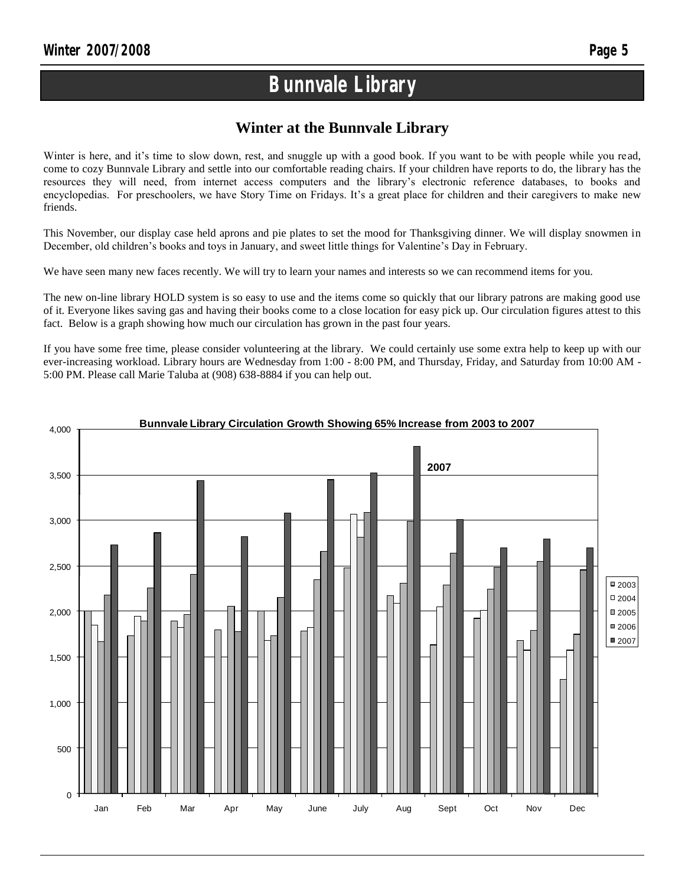### **Bunnvale Library**

#### **Winter at the Bunnvale Library**

Winter is here, and it's time to slow down, rest, and snuggle up with a good book. If you want to be with people while you read, come to cozy Bunnvale Library and settle into our comfortable reading chairs. If your children have reports to do, the library has the resources they will need, from internet access computers and the library's electronic reference databases, to books and encyclopedias. For preschoolers, we have Story Time on Fridays. It's a great place for children and their caregivers to make new friends.

This November, our display case held aprons and pie plates to set the mood for Thanksgiving dinner. We will display snowmen in December, old children's books and toys in January, and sweet little things for Valentine's Day in February.

We have seen many new faces recently. We will try to learn your names and interests so we can recommend items for you.

The new on-line library HOLD system is so easy to use and the items come so quickly that our library patrons are making good use of it. Everyone likes saving gas and having their books come to a close location for easy pick up. Our circulation figures attest to this fact. Below is a graph showing how much our circulation has grown in the past four years.

If you have some free time, please consider volunteering at the library. We could certainly use some extra help to keep up with our ever-increasing workload. Library hours are Wednesday from 1:00 - 8:00 PM, and Thursday, Friday, and Saturday from 10:00 AM - 5:00 PM. Please call Marie Taluba at (908) 638-8884 if you can help out.

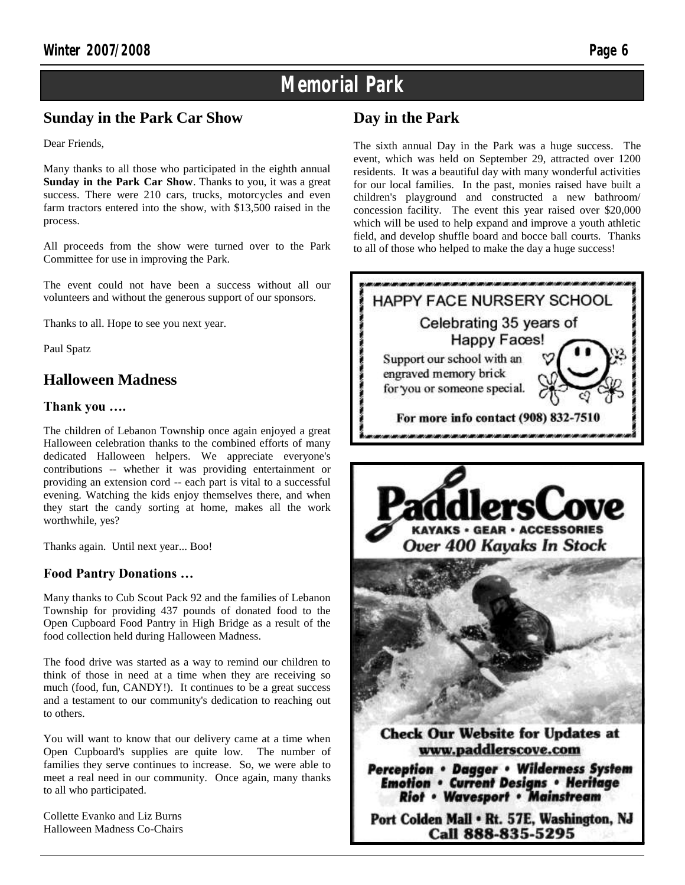### **Memorial Park**

#### **Sunday in the Park Car Show**

Dear Friends,

Many thanks to all those who participated in the eighth annual **Sunday in the Park Car Show**. Thanks to you, it was a great success. There were 210 cars, trucks, motorcycles and even farm tractors entered into the show, with \$13,500 raised in the process.

All proceeds from the show were turned over to the Park Committee for use in improving the Park.

The event could not have been a success without all our volunteers and without the generous support of our sponsors.

Thanks to all. Hope to see you next year.

Paul Spatz

#### **Halloween Madness**

#### **Thank you ….**

The children of Lebanon Township once again enjoyed a great Halloween celebration thanks to the combined efforts of many dedicated Halloween helpers. We appreciate everyone's contributions -- whether it was providing entertainment or providing an extension cord -- each part is vital to a successful evening. Watching the kids enjoy themselves there, and when they start the candy sorting at home, makes all the work worthwhile, yes?

Thanks again. Until next year... Boo!

#### **Food Pantry Donations …**

Many thanks to Cub Scout Pack 92 and the families of Lebanon Township for providing 437 pounds of donated food to the Open Cupboard Food Pantry in High Bridge as a result of the food collection held during Halloween Madness.

The food drive was started as a way to remind our children to think of those in need at a time when they are receiving so much (food, fun, CANDY!). It continues to be a great success and a testament to our community's dedication to reaching out to others.

You will want to know that our delivery came at a time when Open Cupboard's supplies are quite low. The number of families they serve continues to increase. So, we were able to meet a real need in our community. Once again, many thanks to all who participated.

Collette Evanko and Liz Burns Halloween Madness Co-Chairs

#### **Day in the Park**

The sixth annual Day in the Park was a huge success. The event, which was held on September 29, attracted over 1200 residents. It was a beautiful day with many wonderful activities for our local families. In the past, monies raised have built a children's playground and constructed a new bathroom/ concession facility. The event this year raised over \$20,000 which will be used to help expand and improve a youth athletic field, and develop shuffle board and bocce ball courts. Thanks to all of those who helped to make the day a huge success!





**Perception • Dagger • Wilderness System Emotion . Current Designs . Heritage Riot • Wavesport • Mainstream** 

Port Colden Mall . Rt. 57E, Washington, NJ Call 888-835-5295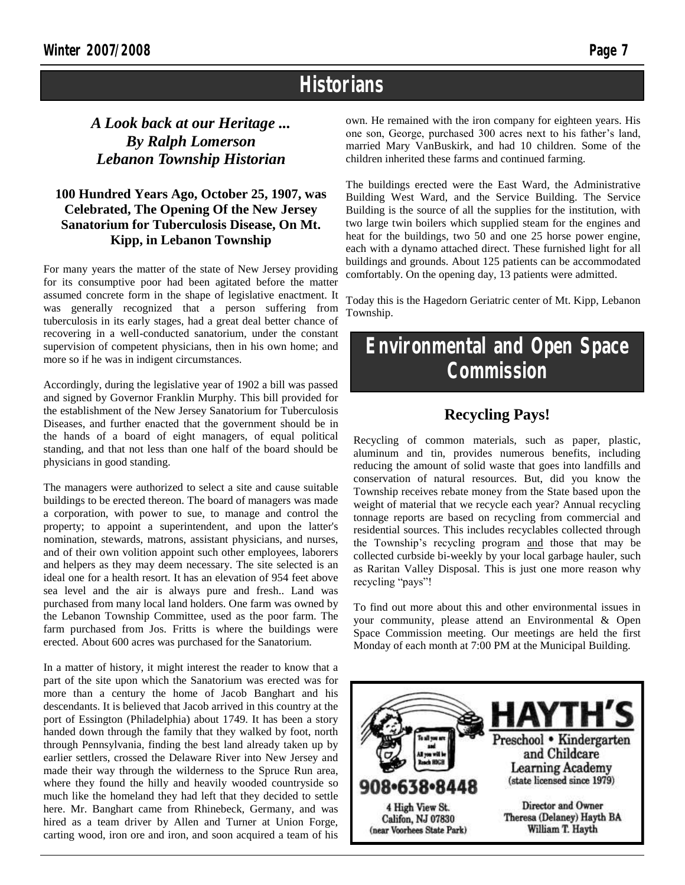### **Historians**

#### *A Look back at our Heritage ... By Ralph Lomerson Lebanon Township Historian*

#### **100 Hundred Years Ago, October 25, 1907, was Celebrated, The Opening Of the New Jersey Sanatorium for Tuberculosis Disease, On Mt. Kipp, in Lebanon Township**

For many years the matter of the state of New Jersey providing for its consumptive poor had been agitated before the matter assumed concrete form in the shape of legislative enactment. It was generally recognized that a person suffering from tuberculosis in its early stages, had a great deal better chance of recovering in a well-conducted sanatorium, under the constant supervision of competent physicians, then in his own home; and more so if he was in indigent circumstances.

Accordingly, during the legislative year of 1902 a bill was passed and signed by Governor Franklin Murphy. This bill provided for the establishment of the New Jersey Sanatorium for Tuberculosis Diseases, and further enacted that the government should be in the hands of a board of eight managers, of equal political standing, and that not less than one half of the board should be physicians in good standing.

The managers were authorized to select a site and cause suitable buildings to be erected thereon. The board of managers was made a corporation, with power to sue, to manage and control the property; to appoint a superintendent, and upon the latter's nomination, stewards, matrons, assistant physicians, and nurses, and of their own volition appoint such other employees, laborers and helpers as they may deem necessary. The site selected is an ideal one for a health resort. It has an elevation of 954 feet above sea level and the air is always pure and fresh.. Land was purchased from many local land holders. One farm was owned by the Lebanon Township Committee, used as the poor farm. The farm purchased from Jos. Fritts is where the buildings were erected. About 600 acres was purchased for the Sanatorium.

In a matter of history, it might interest the reader to know that a part of the site upon which the Sanatorium was erected was for more than a century the home of Jacob Banghart and his descendants. It is believed that Jacob arrived in this country at the port of Essington (Philadelphia) about 1749. It has been a story handed down through the family that they walked by foot, north through Pennsylvania, finding the best land already taken up by earlier settlers, crossed the Delaware River into New Jersey and made their way through the wilderness to the Spruce Run area, where they found the hilly and heavily wooded countryside so much like the homeland they had left that they decided to settle here. Mr. Banghart came from Rhinebeck, Germany, and was hired as a team driver by Allen and Turner at Union Forge, carting wood, iron ore and iron, and soon acquired a team of his

own. He remained with the iron company for eighteen years. His one son, George, purchased 300 acres next to his father's land, married Mary VanBuskirk, and had 10 children. Some of the children inherited these farms and continued farming.

The buildings erected were the East Ward, the Administrative Building West Ward, and the Service Building. The Service Building is the source of all the supplies for the institution, with two large twin boilers which supplied steam for the engines and heat for the buildings, two 50 and one 25 horse power engine, each with a dynamo attached direct. These furnished light for all buildings and grounds. About 125 patients can be accommodated comfortably. On the opening day, 13 patients were admitted.

Today this is the Hagedorn Geriatric center of Mt. Kipp, Lebanon Township.

### **Environmental and Open Space Commission**

#### **Recycling Pays!**

Recycling of common materials, such as paper, plastic, aluminum and tin, provides numerous benefits, including reducing the amount of solid waste that goes into landfills and conservation of natural resources. But, did you know the Township receives rebate money from the State based upon the weight of material that we recycle each year? Annual recycling tonnage reports are based on recycling from commercial and residential sources. This includes recyclables collected through the Township's recycling program and those that may be collected curbside bi-weekly by your local garbage hauler, such as Raritan Valley Disposal. This is just one more reason why recycling "pays"!

To find out more about this and other environmental issues in your community, please attend an Environmental & Open Space Commission meeting. Our meetings are held the first Monday of each month at 7:00 PM at the Municipal Building.

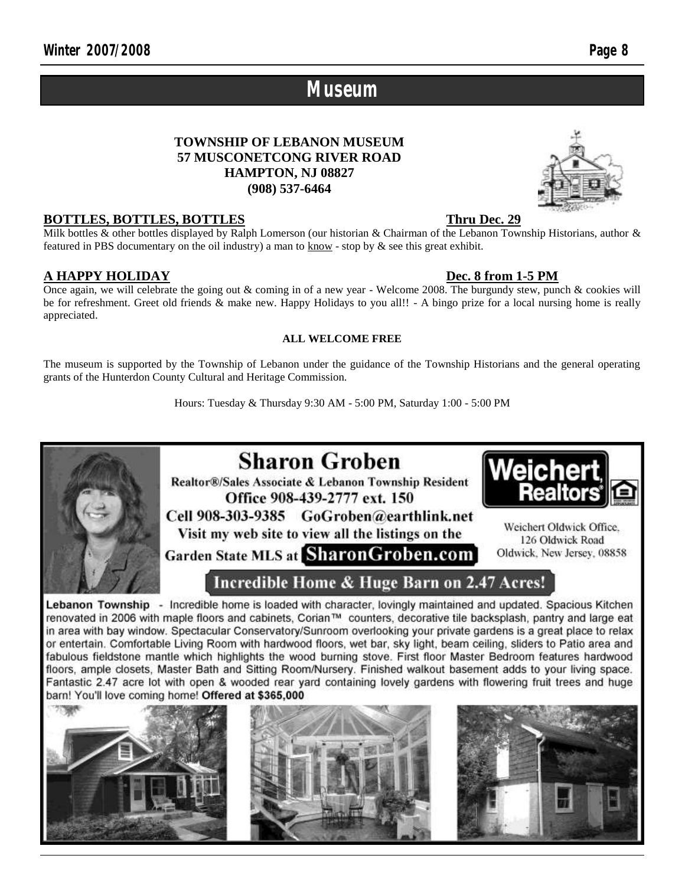### **Museum**

#### **TOWNSHIP OF LEBANON MUSEUM 57 MUSCONETCONG RIVER ROAD HAMPTON, NJ 08827 (908) 537-6464**



#### **BOTTLES, BOTTLES, BOTTLES Thru Dec. 29**

Milk bottles & other bottles displayed by Ralph Lomerson (our historian & Chairman of the Lebanon Township Historians, author & featured in PBS documentary on the oil industry) a man to know - stop by & see this great exhibit.

#### **A HAPPY HOLIDAY Dec. 8 from 1-5 PM**

Once again, we will celebrate the going out & coming in of a new year - Welcome 2008. The burgundy stew, punch & cookies will be for refreshment. Greet old friends & make new. Happy Holidays to you all!! - A bingo prize for a local nursing home is really appreciated.

#### **ALL WELCOME FREE**

The museum is supported by the Township of Lebanon under the guidance of the Township Historians and the general operating grants of the Hunterdon County Cultural and Heritage Commission.

Hours: Tuesday & Thursday 9:30 AM - 5:00 PM, Saturday 1:00 - 5:00 PM



### **Sharon Groben**

Realtor®/Sales Associate & Lebanon Township Resident Office 908-439-2777 ext. 150

Cell 908-303-9385 GoGroben@earthlink.net Visit my web site to view all the listings on the

Garden State MLS at SharonGroben.com



Weichert Oldwick Office. 126 Oldwick Road Oldwick, New Jersey, 08858

### Incredible Home & Huge Barn on 2.47 Acres!

Lebanon Township - Incredible home is loaded with character, lovingly maintained and updated. Spacious Kitchen renovated in 2006 with maple floors and cabinets, Corian™ counters, decorative tile backsplash, pantry and large eat in area with bay window. Spectacular Conservatory/Sunroom overlooking your private gardens is a great place to relax or entertain. Comfortable Living Room with hardwood floors, wet bar, sky light, beam ceiling, sliders to Patio area and fabulous fieldstone mantle which highlights the wood burning stove. First floor Master Bedroom features hardwood floors, ample closets, Master Bath and Sitting Room/Nursery, Finished walkout basement adds to your living space. Fantastic 2.47 acre lot with open & wooded rear yard containing lovely gardens with flowering fruit trees and huge barn! You'll love coming home! Offered at \$365,000





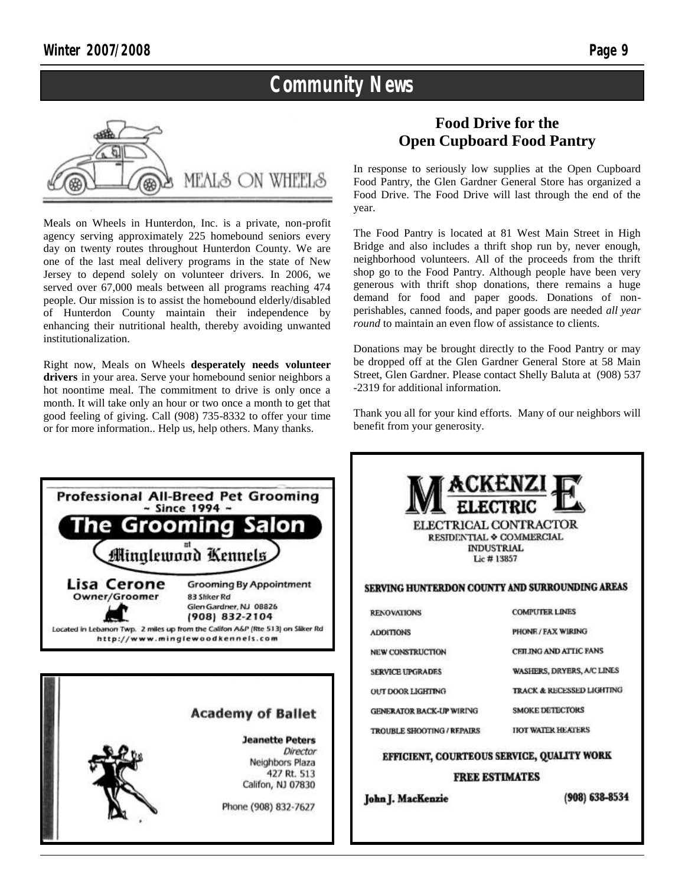### **Community News**



Meals on Wheels in Hunterdon, Inc. is a private, non-profit agency serving approximately 225 homebound seniors every day on twenty routes throughout Hunterdon County. We are one of the last meal delivery programs in the state of New Jersey to depend solely on volunteer drivers. In 2006, we served over 67,000 meals between all programs reaching 474 people. Our mission is to assist the homebound elderly/disabled of Hunterdon County maintain their independence by enhancing their nutritional health, thereby avoiding unwanted institutionalization.

Right now, Meals on Wheels **desperately needs volunteer drivers** in your area. Serve your homebound senior neighbors a hot noontime meal. The commitment to drive is only once a month. It will take only an hour or two once a month to get that good feeling of giving. Call (908) 735-8332 to offer your time or for more information.. Help us, help others. Many thanks.

#### **Food Drive for the Open Cupboard Food Pantry**

In response to seriously low supplies at the Open Cupboard Food Pantry, the Glen Gardner General Store has organized a Food Drive. The Food Drive will last through the end of the year.

The Food Pantry is located at 81 West Main Street in High Bridge and also includes a thrift shop run by, never enough, neighborhood volunteers. All of the proceeds from the thrift shop go to the Food Pantry. Although people have been very generous with thrift shop donations, there remains a huge demand for food and paper goods. Donations of nonperishables, canned foods, and paper goods are needed *all year round* to maintain an even flow of assistance to clients.

Donations may be brought directly to the Food Pantry or may be dropped off at the Glen Gardner General Store at 58 Main Street, Glen Gardner. Please contact Shelly Baluta at (908) 537 -2319 for additional information.

Thank you all for your kind efforts. Many of our neighbors will benefit from your generosity.

| <b>Professional All-Breed Pet Grooming</b><br>$\sim$ Since 1994 $\sim$<br><b>The Grooming Salon</b><br>Minglewood Kennels                                                                                                                        | Lic #13857                                                                                                                         | <b>ACKENZI</b><br><b>ELECTRIC</b><br>ELECTRICAL CONTRACTOR<br>RESIDENTIAL & COMMERCIAL<br><b>INDUSTRIAL</b>                                                                          |
|--------------------------------------------------------------------------------------------------------------------------------------------------------------------------------------------------------------------------------------------------|------------------------------------------------------------------------------------------------------------------------------------|--------------------------------------------------------------------------------------------------------------------------------------------------------------------------------------|
| Lisa Cerone<br><b>Grooming By Appointment</b><br>Owner/Groomer<br>83 Sliker Rd<br>Glen Gardner, NJ 08826<br>(908) 832-2104<br>Located in Lebanon Twp. 2 miles up from the Califon A&P (Rte 513) on Sliker Rd<br>http://www.minglewoodkennels.com | <b>RENOVATIONS</b><br><b>ADDITIONS</b><br>NEW CONSTRUCTION                                                                         | SERVING HUNTERDON COUNTY AND SURROUNDING AREAS<br><b>COMPUTER LINES</b><br>PHONE / FAX WIRING<br>CEILING AND ATTIC FANS<br>WASHERS, DRYERS, A/C LINES                                |
| <b>Academy of Ballet</b><br><b>Jeanette Peters</b><br>Director<br>Neighbors Plaza<br>427 Rt. 513<br>Califon, NJ 07830<br>Phone (908) 832-7627                                                                                                    | <b>SERVICE UPGRADES</b><br>OUT DOOR LIGHTING<br><b>GENERATOR BACK-UP WIRING</b><br>TROUBLE SHOOTING / REPAIRS<br>John J. MacKenzie | <b>TRACK &amp; RECESSED LIGHTING</b><br><b>SMOKE DETECTORS</b><br><b>IIOT WATER HEATERS</b><br>EFFICIENT, COURTEOUS SERVICE, QUALITY WORK<br><b>FREE ESTIMATES</b><br>(908) 638-8534 |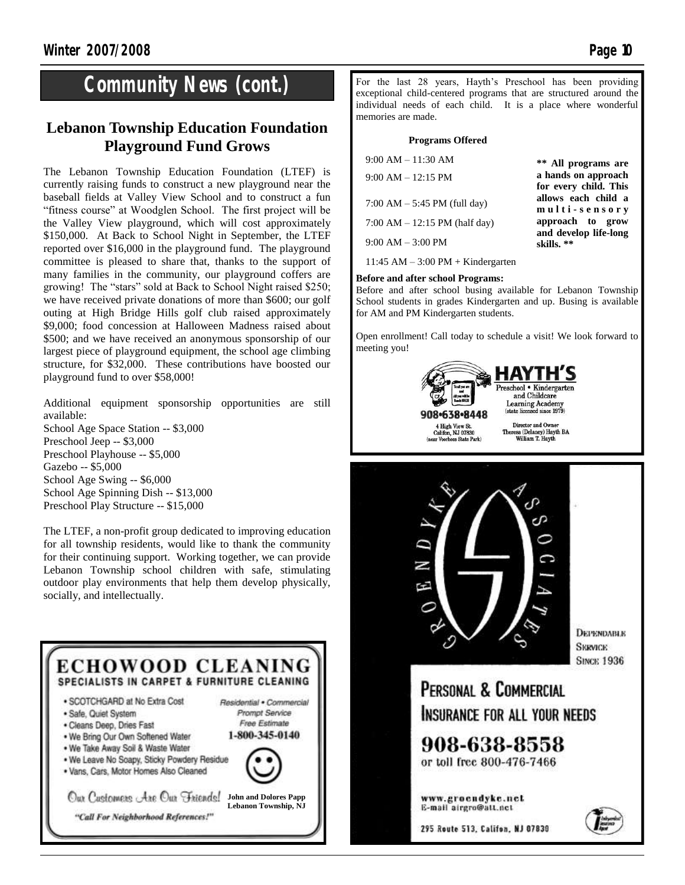### **Community News (cont.)**

#### **Lebanon Township Education Foundation Playground Fund Grows**

The Lebanon Township Education Foundation (LTEF) is currently raising funds to construct a new playground near the baseball fields at Valley View School and to construct a fun "fitness course" at Woodglen School. The first project will be the Valley View playground, which will cost approximately \$150,000. At Back to School Night in September, the LTEF reported over \$16,000 in the playground fund. The playground committee is pleased to share that, thanks to the support of many families in the community, our playground coffers are growing! The "stars" sold at Back to School Night raised \$250; we have received private donations of more than \$600; our golf outing at High Bridge Hills golf club raised approximately \$9,000; food concession at Halloween Madness raised about \$500; and we have received an anonymous sponsorship of our largest piece of playground equipment, the school age climbing structure, for \$32,000. These contributions have boosted our playground fund to over \$58,000!

Additional equipment sponsorship opportunities are still available:

School Age Space Station -- \$3,000 Preschool Jeep -- \$3,000 Preschool Playhouse -- \$5,000 Gazebo -- \$5,000 School Age Swing -- \$6,000 School Age Spinning Dish -- \$13,000 Preschool Play Structure -- \$15,000

The LTEF, a non-profit group dedicated to improving education for all township residents, would like to thank the community for their continuing support. Working together, we can provide Lebanon Township school children with safe, stimulating outdoor play environments that help them develop physically, socially, and intellectually.



For the last 28 years, Hayth's Preschool has been providing exceptional child-centered programs that are structured around the individual needs of each child. It is a place where wonderful memories are made.

#### **Programs Offered**

| $9:00 AM - 11:30 AM$<br>$9:00 AM - 12:15 PM$ | ** All programs are<br>a hands on approach                 |
|----------------------------------------------|------------------------------------------------------------|
| 7:00 AM $-$ 5:45 PM (full day)               | for every child. This<br>allows each child a               |
| 7:00 AM $-$ 12:15 PM (half day)              | multi-sensory<br>approach to grow<br>and develop life-long |
| $9:00$ AM $-3:00$ PM                         | skills. **                                                 |

11:45 AM – 3:00 PM + Kindergarten

#### **Before and after school Programs:**

Before and after school busing available for Lebanon Township School students in grades Kindergarten and up. Busing is available for AM and PM Kindergarten students.

Open enrollment! Call today to schedule a visit! We look forward to meeting you!





www.groendyke.net E-mail airgro@att.nct

295 Route 513, Califon, NJ 07839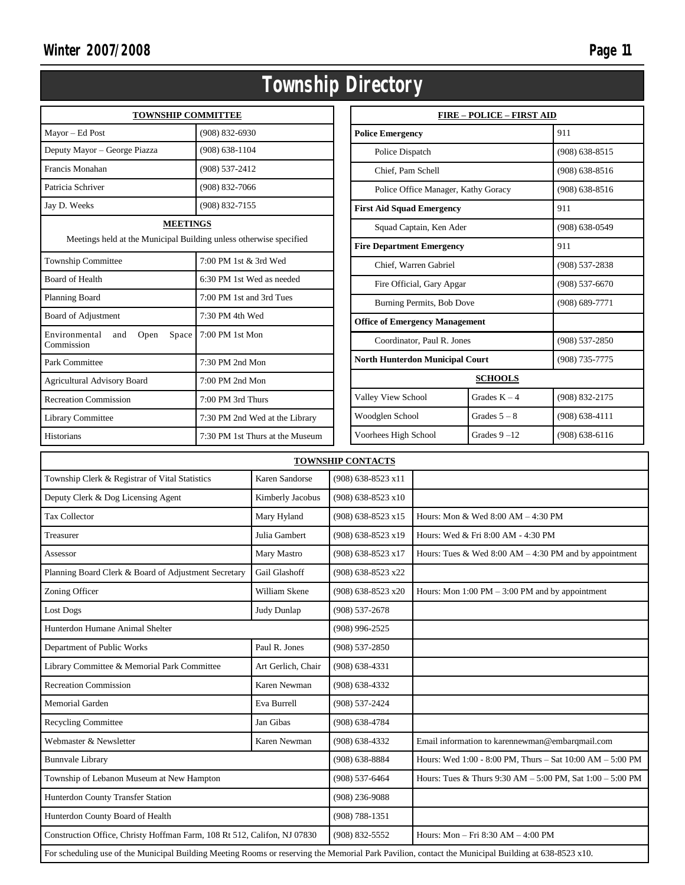|                                                                                       | Township                        |  |  |
|---------------------------------------------------------------------------------------|---------------------------------|--|--|
| <b>TOWNSHIP COMMITTEE</b>                                                             |                                 |  |  |
| Mayor - Ed Post                                                                       | $(908) 832 - 6930$              |  |  |
| Deputy Mayor - George Piazza                                                          | $(908) 638 - 1104$              |  |  |
| Francis Monahan                                                                       | (908) 537-2412                  |  |  |
| Patricia Schriver                                                                     | $(908) 832 - 7066$              |  |  |
| Jay D. Weeks                                                                          | $(908) 832 - 7155$              |  |  |
| <b>MEETINGS</b><br>Meetings held at the Municipal Building unless otherwise specified |                                 |  |  |
| $7:00$ PM 1st $\&$ 3rd Wed<br><b>Township Committee</b>                               |                                 |  |  |
| <b>Board of Health</b>                                                                | 6:30 PM 1st Wed as needed       |  |  |
| Planning Board                                                                        | 7:00 PM 1st and 3rd Tues        |  |  |
| Board of Adjustment                                                                   | 7:30 PM 4th Wed                 |  |  |
| Environmental<br>Space<br>and<br>Open<br>Commission                                   | 7:00 PM 1st Mon                 |  |  |
| Park Committee                                                                        | 7:30 PM 2nd Mon                 |  |  |
| <b>Agricultural Advisory Board</b>                                                    | $7:00$ PM $2nd$ Mon             |  |  |
| <b>Recreation Commission</b>                                                          | 7:00 PM 3rd Thurs               |  |  |
| Library Committee                                                                     | 7:30 PM 2nd Wed at the Library  |  |  |
| Historians                                                                            | 7:30 PM 1st Thurs at the Museum |  |  |

|                                         | <b>FIRE - POLICE - FIRST AID</b> |                    |  |  |
|-----------------------------------------|----------------------------------|--------------------|--|--|
| <b>Police Emergency</b>                 |                                  | 911                |  |  |
| Police Dispatch                         |                                  | $(908)$ 638-8515   |  |  |
| Chief. Pam Schell                       |                                  | $(908)$ 638-8516   |  |  |
| Police Office Manager, Kathy Goracy     |                                  | $(908)$ 638-8516   |  |  |
| <b>First Aid Squad Emergency</b>        |                                  | 911                |  |  |
| Squad Captain, Ken Ader                 |                                  | $(908) 638 - 0549$ |  |  |
| <b>Fire Department Emergency</b>        |                                  | 911                |  |  |
| Chief, Warren Gabriel                   |                                  | $(908) 537 - 2838$ |  |  |
| Fire Official, Gary Apgar               |                                  | $(908) 537 - 6670$ |  |  |
| Burning Permits, Bob Dove               |                                  | $(908) 689 - 7771$ |  |  |
| <b>Office of Emergency Management</b>   |                                  |                    |  |  |
| Coordinator, Paul R. Jones              |                                  | $(908) 537 - 2850$ |  |  |
| <b>North Hunterdon Municipal Court</b>  |                                  | (908) 735-7775     |  |  |
| <b>SCHOOLS</b>                          |                                  |                    |  |  |
| Valley View School                      | Grades $K - 4$                   | (908) 832-2175     |  |  |
| Woodglen School                         | Grades $5 - 8$                   | $(908) 638 - 4111$ |  |  |
| Grades $9 - 12$<br>Voorhees High School |                                  | $(908)$ 638-6116   |  |  |

| <b>TOWNSHIP CONTACTS</b>                                                                                                                            |                    |                      |                                                                   |
|-----------------------------------------------------------------------------------------------------------------------------------------------------|--------------------|----------------------|-------------------------------------------------------------------|
| Township Clerk & Registrar of Vital Statistics                                                                                                      | Karen Sandorse     | (908) 638-8523 x11   |                                                                   |
| Deputy Clerk & Dog Licensing Agent                                                                                                                  | Kimberly Jacobus   | $(908)$ 638-8523 x10 |                                                                   |
| <b>Tax Collector</b>                                                                                                                                | Mary Hyland        | (908) 638-8523 x15   | Hours: Mon & Wed 8:00 AM - 4:30 PM                                |
| Treasurer                                                                                                                                           | Julia Gambert      | (908) 638-8523 x19   | Hours: Wed & Fri 8:00 AM - 4:30 PM                                |
| Assessor                                                                                                                                            | Mary Mastro        | (908) 638-8523 x17   | Hours: Tues & Wed $8:00$ AM $-4:30$ PM and by appointment         |
| Planning Board Clerk & Board of Adjustment Secretary                                                                                                | Gail Glashoff      | (908) 638-8523 x22   |                                                                   |
| Zoning Officer                                                                                                                                      | William Skene      | (908) 638-8523 x20   | Hours: Mon $1:00 \text{ PM} - 3:00 \text{ PM}$ and by appointment |
| <b>Lost Dogs</b>                                                                                                                                    | Judy Dunlap        | $(908) 537 - 2678$   |                                                                   |
| Hunterdon Humane Animal Shelter                                                                                                                     |                    | $(908)$ 996-2525     |                                                                   |
| Department of Public Works                                                                                                                          | Paul R. Jones      | $(908) 537 - 2850$   |                                                                   |
| Library Committee & Memorial Park Committee                                                                                                         | Art Gerlich, Chair | $(908) 638 - 4331$   |                                                                   |
| <b>Recreation Commission</b>                                                                                                                        | Karen Newman       | $(908) 638 - 4332$   |                                                                   |
| <b>Memorial Garden</b>                                                                                                                              | Eva Burrell        | (908) 537-2424       |                                                                   |
| <b>Recycling Committee</b>                                                                                                                          | Jan Gibas          | $(908)$ 638-4784     |                                                                   |
| Webmaster & Newsletter                                                                                                                              | Karen Newman       | $(908)$ 638-4332     | Email information to karennewman@embarqmail.com                   |
| <b>Bunnvale Library</b>                                                                                                                             |                    | $(908)$ 638-8884     | Hours: Wed 1:00 - 8:00 PM, Thurs - Sat 10:00 AM - 5:00 PM         |
| Township of Lebanon Museum at New Hampton                                                                                                           |                    | $(908) 537 - 6464$   | Hours: Tues & Thurs $9:30 AM - 5:00 PM$ , Sat $1:00 - 5:00 PM$    |
| Hunterdon County Transfer Station                                                                                                                   |                    | $(908)$ 236-9088     |                                                                   |
| Hunterdon County Board of Health                                                                                                                    |                    | $(908) 788 - 1351$   |                                                                   |
| Construction Office, Christy Hoffman Farm, 108 Rt 512, Califon, NJ 07830                                                                            |                    | (908) 832-5552       | Hours: Mon - Fri 8:30 AM - 4:00 PM                                |
| For scheduling use of the Municipal Building Meeting Rooms or reserving the Memorial Park Pavilion, contact the Municipal Building at 638-8523 x10. |                    |                      |                                                                   |

## Directory